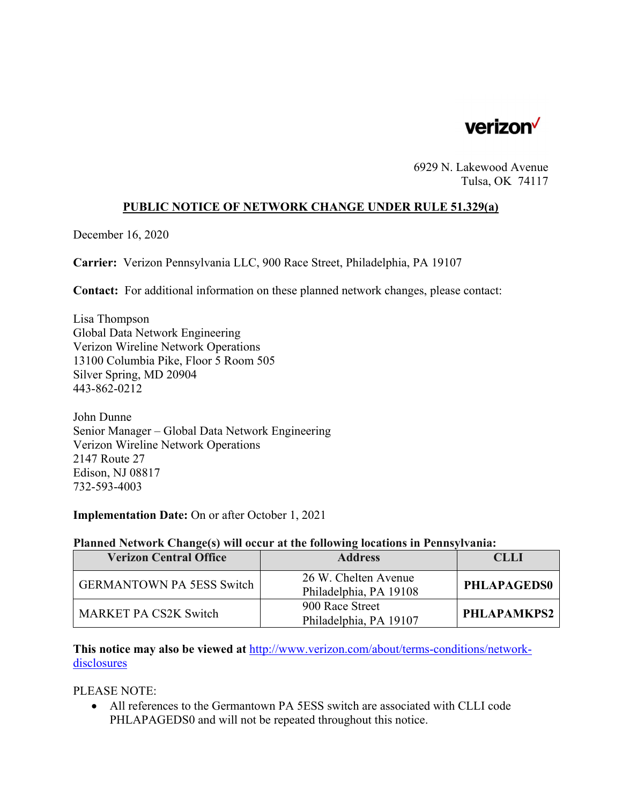

6929 N. Lakewood Avenue Tulsa, OK 74117

## **PUBLIC NOTICE OF NETWORK CHANGE UNDER RULE 51.329(a)**

December 16, 2020

**Carrier:** Verizon Pennsylvania LLC, 900 Race Street, Philadelphia, PA 19107

**Contact:** For additional information on these planned network changes, please contact:

Lisa Thompson Global Data Network Engineering Verizon Wireline Network Operations 13100 Columbia Pike, Floor 5 Room 505 Silver Spring, MD 20904 443-862-0212

John Dunne Senior Manager – Global Data Network Engineering Verizon Wireline Network Operations 2147 Route 27 Edison, NJ 08817 732-593-4003

**Implementation Date:** On or after October 1, 2021

## **Planned Network Change(s) will occur at the following locations in Pennsylvania:**

| <b>Verizon Central Office</b>    | <b>Address</b>                                 | CLLI               |
|----------------------------------|------------------------------------------------|--------------------|
| <b>GERMANTOWN PA 5ESS Switch</b> | 26 W. Chelten Avenue<br>Philadelphia, PA 19108 | <b>PHLAPAGEDS0</b> |
| <b>MARKET PA CS2K Switch</b>     | 900 Race Street<br>Philadelphia, PA 19107      | PHLAPAMKPS2        |

**This notice may also be viewed at** http://www.verizon.com/about/terms-conditions/networkdisclosures

PLEASE NOTE:

 All references to the Germantown PA 5ESS switch are associated with CLLI code PHLAPAGEDS0 and will not be repeated throughout this notice.